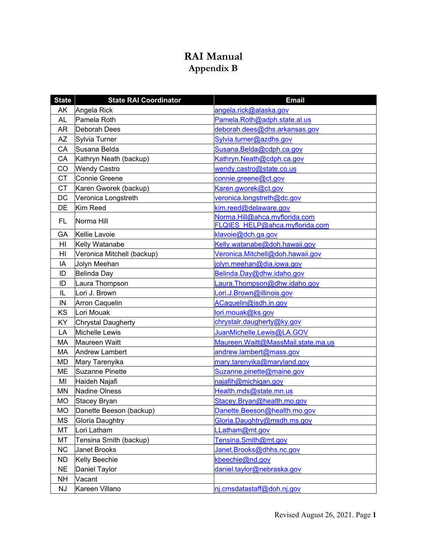## **RAI Manual Appendix B**

| <b>State</b>   | <b>State RAI Coordinator</b> | <b>Email</b>                        |
|----------------|------------------------------|-------------------------------------|
| AK             | Angela Rick                  | angela.rick@alaska.gov              |
| <b>AL</b>      | Pamela Roth                  | Pamela.Roth@adph.state.al.us        |
| <b>AR</b>      | Deborah Dees                 | deborah.dees@dhs.arkansas.gov       |
| <b>AZ</b>      | Sylvia Turner                | Sylvia.turner@azdhs.gov             |
| CA             | Susana Belda                 | Susana.Belda@cdph.ca.gov            |
| CA             | Kathryn Neath (backup)       | Kathryn.Neath@cdph.ca.gov           |
| CO             | <b>Wendy Castro</b>          | wendy.castro@state.co.us            |
| <b>CT</b>      | <b>Connie Greene</b>         | connie.greene@ct.gov                |
| <b>CT</b>      | Karen Gworek (backup)        | Karen.gworek@ct.gov                 |
| <b>DC</b>      | Veronica Longstreth          | veronica.longstreth@dc.gov          |
| DE             | Kim Reed                     | kim.reed@delaware.gov               |
| <b>FL</b>      | Norma Hill                   | Norma.Hill@ahca.myflorida.com       |
|                |                              | FLQIES HELP@ahca.myflorida.com      |
| GA             | Kellie Lavoie                | klavoie@dch.ga.gov                  |
| H <sub>l</sub> | Kelly Watanabe               | Kelly.watanabe@doh.hawaii.gov       |
| HI             | Veronica Mitchell (backup)   | Veronica.Mitchell@doh.hawaii.gov    |
| IA             | Jolyn Meehan                 | jolyn.meehan@dia.iowa.gov           |
| ID             | Belinda Day                  | Belinda.Day@dhw.idaho.gov           |
| ID             | Laura Thompson               | .aura.Thompson@dhw.idaho.gov        |
| IL             | Lori J. Brown                | Lori.J.Brown@illinois.gov           |
| IN             | Arron Caquelin               | ACaquelin@isdh.in.gov               |
| KS             | Lori Mouak                   | lori.mouak@ks.gov                   |
| KY             | Chrystal Daugherty           | chrystalr.daugherty@ky.gov          |
| LA             | Michelle Lewis               | JuanMichelle.Lewis@LA.GOV           |
| MA             | Maureen Waitt                | Maureen. Waitt@MassMail.state.ma.us |
| MA             | <b>Andrew Lambert</b>        | andrew.lambert@mass.gov             |
| MD             | Mary Tarenyika               | mary.tarenyika@maryland.gov         |
| <b>ME</b>      | <b>Suzanne Pinette</b>       | Suzanne.pinette@maine.gov           |
| MI             | Haideh Najafi                | najafih@michigan.gov                |
| MN             | Nadine Olness                | Health.mds@state.mn.us              |
| <b>MO</b>      | Stacey Bryan                 | Stacey.Bryan@health.mo.gov          |
| <b>MO</b>      | Danette Beeson (backup)      | Danette.Beeson@health.mo.gov        |
| <b>MS</b>      | Gloria Daughtry              | Gloria.Daughtry@msdh.ms.gov         |
| MT             | Lori Latham                  | LLatham@mt.gov                      |
| MT             | Tensina Smith (backup)       | Tensina.Smith@mt.gov                |
| <b>NC</b>      | <b>Janet Brooks</b>          | Janet.Brooks@dhhs.nc.gov            |
| <b>ND</b>      | Kelly Beechie                | kbeechie@nd.gov                     |
| <b>NE</b>      | Daniel Taylor                | daniel.taylor@nebraska.gov          |
| <b>NH</b>      | Vacant                       |                                     |
| <b>NJ</b>      | Kareen Villano               | nj.cmsdatastaff@doh.nj.gov          |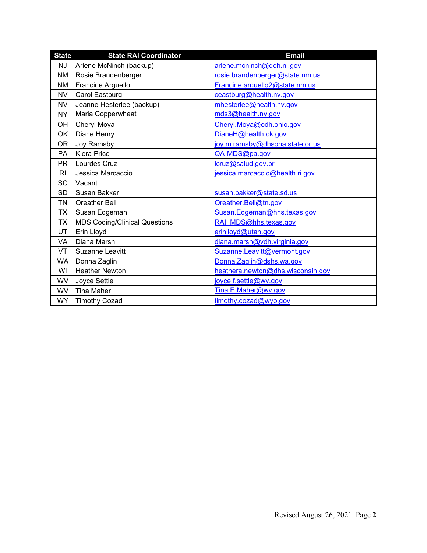| <b>State</b> | <b>State RAI Coordinator</b>         | <b>Email</b>                      |
|--------------|--------------------------------------|-----------------------------------|
| <b>NJ</b>    | Arlene McNinch (backup)              | arlene.mcninch@doh.nj.gov         |
| <b>NM</b>    | Rosie Brandenberger                  | rosie.brandenberger@state.nm.us   |
| NM.          | Francine Arguello                    | Francine.arguello2@state.nm.us    |
| <b>NV</b>    | Carol Eastburg                       | ceastburg@health.nv.gov           |
| <b>NV</b>    | Jeanne Hesterlee (backup)            | mhesterlee@health.nv.gov          |
| NY           | Maria Copperwheat                    | mds3@health.ny.gov                |
| OH           | Cheryl Moya                          | Cheryl.Moya@odh.ohio.gov          |
| <b>OK</b>    | Diane Henry                          | DianeH@health.ok.gov              |
| OR.          | Joy Ramsby                           | joy.m.ramsby@dhsoha.state.or.us   |
| <b>PA</b>    | <b>Kiera Price</b>                   | QA-MDS@pa.gov                     |
| <b>PR</b>    | Lourdes Cruz                         | lcruz@salud.gov.pr                |
| RI           | Jessica Marcaccio                    | jessica.marcaccio@health.ri.gov   |
| SC           | Vacant                               |                                   |
| <b>SD</b>    | Susan Bakker                         | susan.bakker@state.sd.us          |
| <b>TN</b>    | <b>Oreather Bell</b>                 | Oreather.Bell@tn.gov              |
| <b>TX</b>    | Susan Edgeman                        | Susan.Edgeman@hhs.texas.gov       |
| <b>TX</b>    | <b>MDS Coding/Clinical Questions</b> | RAI MDS@hhs.texas.gov             |
| UT.          | Erin Lloyd                           | erinlloyd@utah.gov                |
| <b>VA</b>    | Diana Marsh                          | diana.marsh@vdh.virginia.gov      |
| VT           | Suzanne Leavitt                      | Suzanne.Leavitt@vermont.gov       |
| <b>WA</b>    | Donna Zaglin                         | Donna.Zaglin@dshs.wa.gov          |
| WI           | <b>Heather Newton</b>                | heathera.newton@dhs.wisconsin.gov |
| <b>WV</b>    | Joyce Settle                         | joyce.f.settle@wv.gov             |
| <b>WV</b>    | <b>Tina Maher</b>                    | Tina.E.Maher@wv.gov               |
| <b>WY</b>    | Timothy Cozad                        | timothy.cozad@wyo.gov             |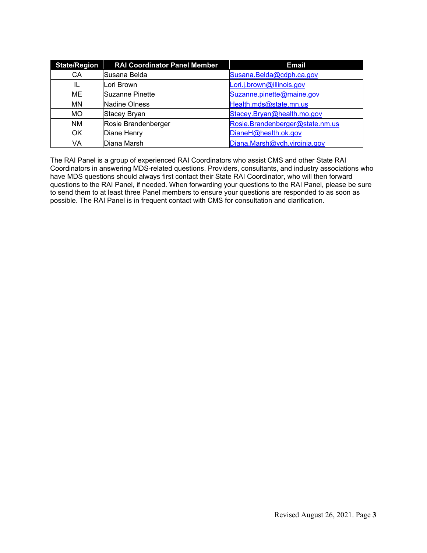| <b>State/Region</b> | <b>RAI Coordinator Panel Member</b> | <b>Email</b>                    |
|---------------------|-------------------------------------|---------------------------------|
| СA                  | Susana Belda                        | Susana.Belda@cdph.ca.gov        |
| IL                  | Lori Brown                          | Lori.j.brown@illinois.gov       |
| ME                  | Suzanne Pinette                     | Suzanne.pinette@maine.gov       |
| MN                  | <b>Nadine Olness</b>                | Health.mds@state.mn.us          |
| <b>MO</b>           | Stacey Bryan                        | Stacey.Bryan@health.mo.gov      |
| <b>NM</b>           | Rosie Brandenberger                 | Rosie.Brandenberger@state.nm.us |
| OK                  | Diane Henry                         | DianeH@health.ok.gov            |
| VA                  | Diana Marsh                         | Diana.Marsh@vdh.virginia.gov    |

The RAI Panel is a group of experienced RAI Coordinators who assist CMS and other State RAI Coordinators in answering MDS-related questions. Providers, consultants, and industry associations who have MDS questions should always first contact their State RAI Coordinator, who will then forward questions to the RAI Panel, if needed. When forwarding your questions to the RAI Panel, please be sure to send them to at least three Panel members to ensure your questions are responded to as soon as possible. The RAI Panel is in frequent contact with CMS for consultation and clarification.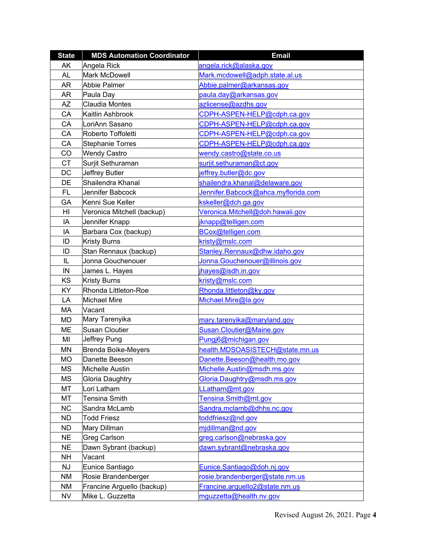| <b>State</b> | <b>MDS Automation Coordinator</b> | <b>Email</b>                        |  |
|--------------|-----------------------------------|-------------------------------------|--|
| AK           | Angela Rick                       | angela.rick@alaska.gov              |  |
| <b>AL</b>    | <b>Mark McDowell</b>              | Mark.mcdowell@adph.state.al.us      |  |
| <b>AR</b>    | <b>Abbie Palmer</b>               | Abbie.palmer@arkansas.gov           |  |
| AR           | Paula Day                         | paula.day@arkansas.gov              |  |
| <b>AZ</b>    | <b>Claudia Montes</b>             | azlicense@azdhs.gov                 |  |
| CA           | Kaitlin Ashbrook                  | CDPH-ASPEN-HELP@cdph.ca.gov         |  |
| CA           | LoriAnn Sasano                    | CDPH-ASPEN-HELP@cdph.ca.gov         |  |
| CA           | Roberto Toffoletti                | CDPH-ASPEN-HELP@cdph.ca.gov         |  |
| CA           | <b>Stephanie Torres</b>           | CDPH-ASPEN-HELP@cdph.ca.gov         |  |
| CO           | <b>Wendy Castro</b>               | wendy.castro@state.co.us            |  |
| <b>CT</b>    | Surjit Sethuraman                 | surjit.sethuraman@ct.gov            |  |
| DC           | Jeffrey Butler                    | jeffrey.butler@dc.gov               |  |
| DE           | Shailendra Khanal                 | shailendra.khanal@delaware.gov      |  |
| FL.          | Jennifer Babcock                  | Jennifer.Babcock@ahca.myflorida.com |  |
| GA           | Kenni Sue Keller                  | kskeller@dch.ga.gov                 |  |
| HI           | Veronica Mitchell (backup)        | Veronica.Mitchell@doh.hawaii.gov    |  |
| IA           | Jennifer Knapp                    | jknapp@telligen.com                 |  |
| IA           | Barbara Cox (backup)              | BCox@telligen.com                   |  |
| ID           | <b>Kristy Burns</b>               | kristy@mslc.com                     |  |
| ID           | Stan Rennaux (backup)             | Stanley.Rennaux@dhw.idaho.gov       |  |
| IL           | Jonna Gouchenouer                 | Jonna.Gouchenouer@illinois.gov      |  |
| IN           | James L. Hayes                    | jhayes@isdh.in.gov                  |  |
| KS           | <b>Kristy Burns</b>               | kristy@mslc.com                     |  |
| KY           | Rhonda Littleton-Roe              | Rhonda.littleton@ky.gov             |  |
| LA           | <b>Michael Mire</b>               | Michael.Mire@la.gov                 |  |
| MA           | Vacant                            |                                     |  |
| <b>MD</b>    | Mary Tarenyika                    | mary.tarenyika@maryland.gov         |  |
| ME           | <b>Susan Cloutier</b>             | Susan.Cloutier@Maine.gov            |  |
| MI           | Jeffrey Pung                      | Pungj6@michigan.gov                 |  |
| <b>MN</b>    | Brenda Boike-Meyers               | health.MDSOASISTECH@state.mn.us     |  |
| <b>MO</b>    | Danette Beeson                    | Danette.Beeson@health.mo.gov        |  |
| <b>MS</b>    | Michelle Austin                   | Michelle.Austin@msdh.ms.gov         |  |
| <b>MS</b>    | Gloria Daughtry                   | Gloria.Daughtry@msdh.ms.gov         |  |
| MT           | Lori Latham                       | LLatham@mt.gov                      |  |
| MT           | <b>Tensina Smith</b>              | Tensina.Smith@mt.gov                |  |
| <b>NC</b>    | Sandra McLamb                     | Sandra.mclamb@dhhs.nc.gov           |  |
| <b>ND</b>    | <b>Todd Friesz</b>                | toddfriesz@nd.gov                   |  |
| <b>ND</b>    | Mary Dillman                      | midillman@nd.gov                    |  |
| <b>NE</b>    | Greg Carlson                      | greg.carlson@nebraska.gov           |  |
| <b>NE</b>    | Dawn Sybrant (backup)             | dawn.sybrant@nebraska.gov           |  |
| <b>NH</b>    | Vacant                            |                                     |  |
| <b>NJ</b>    | Eunice Santiago                   | Eunice.Santiago@doh.nj.gov          |  |
| <b>NM</b>    | Rosie Brandenberger               | rosie.brandenberger@state.nm.us     |  |
| NM           | Francine Arguello (backup)        | Francine.arguello2@state.nm.us      |  |
| <b>NV</b>    | Mike L. Guzzetta                  | mguzzetta@health.nv.gov             |  |
|              |                                   |                                     |  |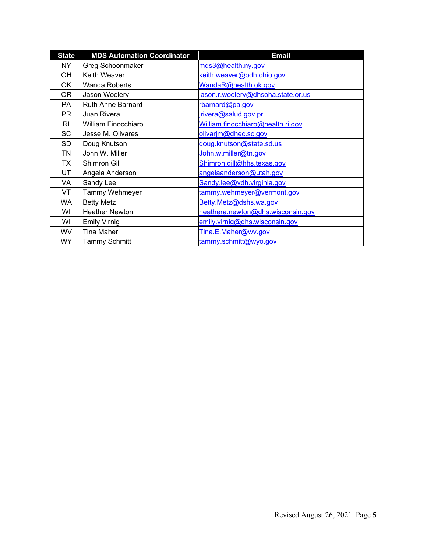| <b>State</b> | <b>MDS Automation Coordinator</b>                   | <b>Email</b>                      |  |
|--------------|-----------------------------------------------------|-----------------------------------|--|
| NY.          | <b>Greg Schoonmaker</b>                             | mds3@health.ny.gov                |  |
| OH           | Keith Weaver                                        | keith.weaver@odh.ohio.gov         |  |
| OK           | Wanda Roberts                                       | WandaR@health.ok.gov              |  |
| 0R           | jason.r.woolery@dhsoha.state.or.us<br>Jason Woolery |                                   |  |
| PA           | <b>Ruth Anne Barnard</b>                            | rbarnard@pa.gov                   |  |
| PR.          | Juan Rivera                                         | jrivera@salud.gov.pr              |  |
| RI           | William Finocchiaro                                 | William.finocchiaro@health.ri.gov |  |
| SC           | Jesse M. Olivares                                   | olivarjm@dhec.sc.gov              |  |
| SD           | Doug Knutson                                        | doug.knutson@state.sd.us          |  |
| TN           | John W. Miller                                      | John.w.miller@tn.gov              |  |
| TX           | Shimron Gill                                        | Shimron.gill@hhs.texas.gov        |  |
| UT           | Angela Anderson                                     | angelaanderson@utah.gov           |  |
| VA           | Sandy Lee                                           | Sandy.lee@vdh.virginia.gov        |  |
| VT           | Tammy Wehmeyer                                      | tammy.wehmeyer@vermont.gov        |  |
| WA           | <b>Betty Metz</b>                                   | Betty.Metz@dshs.wa.gov            |  |
| WI           | <b>Heather Newton</b>                               | heathera.newton@dhs.wisconsin.gov |  |
| WI           | <b>Emily Virnig</b>                                 | emily.virnig@dhs.wisconsin.gov    |  |
| <b>WV</b>    | <b>Tina Maher</b>                                   | Tina.E.Maher@wv.gov               |  |
| <b>WY</b>    | <b>Tammy Schmitt</b>                                | tammy.schmitt@wyo.gov             |  |